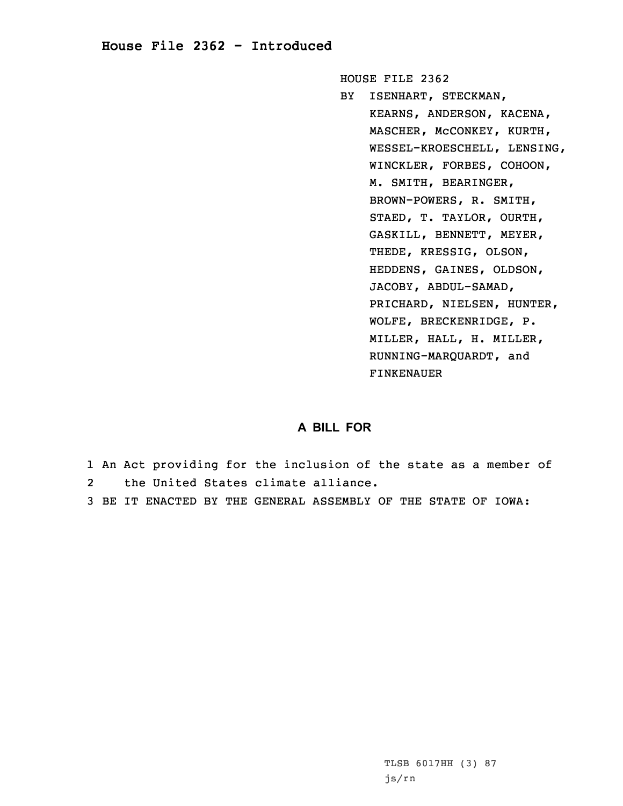## **House File 2362 - Introduced**

HOUSE FILE 2362

BY ISENHART, STECKMAN, KEARNS, ANDERSON, KACENA, MASCHER, McCONKEY, KURTH, WESSEL-KROESCHELL, LENSING, WINCKLER, FORBES, COHOON, M. SMITH, BEARINGER, BROWN-POWERS, R. SMITH, STAED, T. TAYLOR, OURTH, GASKILL, BENNETT, MEYER, THEDE, KRESSIG, OLSON, HEDDENS, GAINES, OLDSON, JACOBY, ABDUL-SAMAD, PRICHARD, NIELSEN, HUNTER, WOLFE, BRECKENRIDGE, P. MILLER, HALL, H. MILLER, RUNNING-MARQUARDT, and FINKENAUER

## **A BILL FOR**

- 1 An Act providing for the inclusion of the state as <sup>a</sup> member of 2the United States climate alliance.
- 3 BE IT ENACTED BY THE GENERAL ASSEMBLY OF THE STATE OF IOWA: